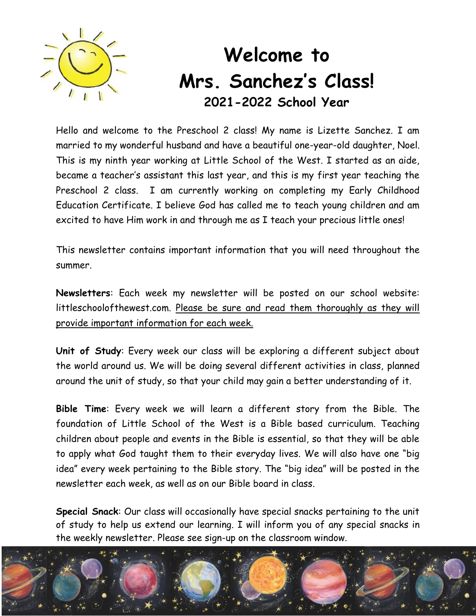

## **Welcome to Mrs. Sanchez's Class! 2021-2022 School Year**

Hello and welcome to the Preschool 2 class! My name is Lizette Sanchez. I am married to my wonderful husband and have a beautiful one-year-old daughter, Noel. This is my ninth year working at Little School of the West. I started as an aide, became a teacher's assistant this last year, and this is my first year teaching the Preschool 2 class. I am currently working on completing my Early Childhood Education Certificate. I believe God has called me to teach young children and am excited to have Him work in and through me as I teach your precious little ones!

This newsletter contains important information that you will need throughout the summer.

**Newsletters**: Each week my newsletter will be posted on our school website: littleschoolofthewest.com. Please be sure and read them thoroughly as they will provide important information for each week.

**Unit of Study**: Every week our class will be exploring a different subject about the world around us. We will be doing several different activities in class, planned around the unit of study, so that your child may gain a better understanding of it.

**Bible Time**: Every week we will learn a different story from the Bible. The foundation of Little School of the West is a Bible based curriculum. Teaching children about people and events in the Bible is essential, so that they will be able to apply what God taught them to their everyday lives. We will also have one "big idea" every week pertaining to the Bible story. The "big idea" will be posted in the newsletter each week, as well as on our Bible board in class.

**Special Snack**: Our class will occasionally have special snacks pertaining to the unit of study to help us extend our learning. I will inform you of any special snacks in the weekly newsletter. Please see sign-up on the classroom window.